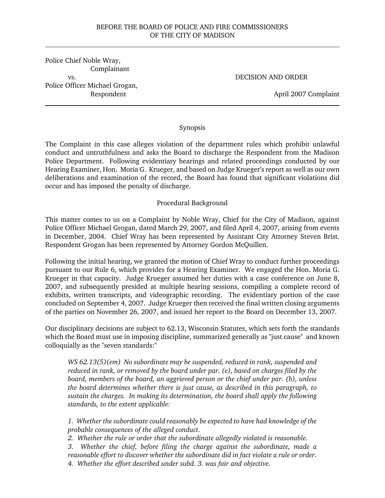# BEFORE THE BOARD OF POLICE AND FIRE COMMISSIONERS OF THE CITY OF MADISON

Police Chief Noble Wray, Complainant vs. Police Officer Michael Grogan, Respondent

DECISION AND ORDER

April 2007 Complaint

## Synopsis

The Complaint in this case alleges violation of the department rules which prohibit unlawful conduct and untruthfulness and asks the Board to discharge the Respondent from the Madison Police Department. Following evidentiary hearings and related proceedings conducted by our Hearing Examiner, Hon. Moria G. Krueger, and based on Judge Krueger's report as well as our own deliberations and examination of the record, the Board has found that significant violations did occur and has imposed the penalty of discharge.

# Procedural Background

This matter comes to us on a Complaint by Noble Wray, Chief for the City of Madison, against Police Officer Michael Grogan, dated March 29, 2007, and filed April 4, 2007, arising from events in December, 2004. Chief Wray has been represented by Assistant City Attorney Steven Brist. Respondent Grogan has been represented by Attorney Gordon McQuillen.

Following the initial hearing, we granted the motion of Chief Wray to conduct further proceedings pursuant to our Rule 6, which provides for a Hearing Examiner. We engaged the Hon. Moria G. Krueger in that capacity. Judge Krueger assumed her duties with a case conference on June 8, 2007, and subsequently presided at multiple hearing sessions, compiling a complete record of exhibits, written transcripts, and videographic recording. The evidentiary portion of the case concluded on September 4, 2007. Judge Krueger then received the final written closing arguments of the parties on November 26, 2007, and issued her report to the Board on December 13, 2007.

Our disciplinary decisions are subject to 62.13, Wisconsin Statutes, which sets forth the standards which the Board must use in imposing discipline, summarized generally as "just cause" and known colloquially as the "seven standards:"

*WS 62.13(5)(em) No subordinate may be suspended, reduced in rank, suspended and reduced in rank, or removed by the board under par. (e), based on charges filed by the board, members of the board, an aggrieved person or the chief under par. (b), unless the board determines whether there is just cause, as described in this paragraph, to sustain the charges. In making its determination, the board shall apply the following standards, to the extent applicable:*

*1. Whether the subordinate could reasonably be expected to have had knowledge of the probable consequences of the alleged conduct.*

*2. Whether the rule or order that the subordinate allegedly violated is reasonable.*

*3. Whether the chief, before filing the charge against the subordinate, made a reasonable effort to discover whether the subordinate did in fact violate a rule or order. 4. Whether the effort described under subd. 3. was fair and objective.*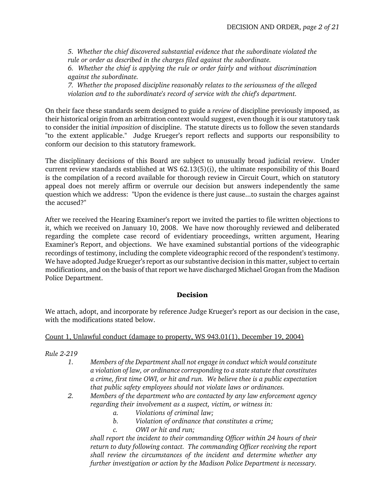*5. Whether the chief discovered substantial evidence that the subordinate violated the rule or order as described in the charges filed against the subordinate.*

*6. Whether the chief is applying the rule or order fairly and without discrimination against the subordinate.*

*7. Whether the proposed discipline reasonably relates to the seriousness of the alleged violation and to the subordinate's record of service with the chief's department.*

On their face these standards seem designed to guide a *review* of discipline previously imposed, as their historical origin from an arbitration context would suggest, even though it is our statutory task to consider the initial *imposition* of discipline. The statute directs us to follow the seven standards "to the extent applicable." Judge Krueger's report reflects and supports our responsibility to conform our decision to this statutory framework.

The disciplinary decisions of this Board are subject to unusually broad judicial review. Under current review standards established at WS 62.13(5)(i), the ultimate responsibility of this Board is the compilation of a record available for thorough review in Circuit Court, which on statutory appeal does not merely affirm or overrule our decision but answers independently the same question which we address: "Upon the evidence is there just cause...to sustain the charges against the accused?"

After we received the Hearing Examiner's report we invited the parties to file written objections to it, which we received on January 10, 2008. We have now thoroughly reviewed and deliberated regarding the complete case record of evidentiary proceedings, written argument, Hearing Examiner's Report, and objections. We have examined substantial portions of the videographic recordings of testimony, including the complete videographic record of the respondent's testimony. We have adopted Judge Krueger's report as our substantive decision in this matter, subject to certain modifications, and on the basis of that report we have discharged Michael Grogan from the Madison Police Department.

# Decision

We attach, adopt, and incorporate by reference Judge Krueger's report as our decision in the case, with the modifications stated below.

## Count 1, Unlawful conduct (damage to property, WS 943.01(1), December 19, 2004)

*Rule 2-219*

- *1. Members of the Department shall not engage in conduct which would constitute a violation of law, or ordinance corresponding to a state statute that constitutes a crime, first time OWI, or hit and run. We believe thee is a public expectation that public safety employees should not violate laws or ordinances.*
- *2. Members of the department who are contacted by any law enforcement agency regarding their involvement as a suspect, victim, or witness in:*
	- *a. Violations of criminal law;*
	- *b. Violation of ordinance that constitutes a crime;*
	- *c. OWI or hit and run;*

*shall report the incident to their commanding Officer within 24 hours of their return to duty following contact. The commanding Officer receiving the report shall review the circumstances of the incident and determine whether any further investigation or action by the Madison Police Department is necessary.*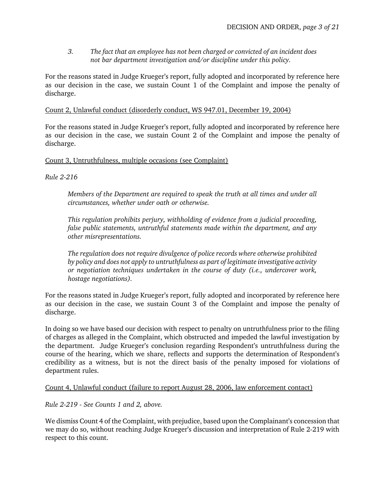*3. The fact that an employee has not been charged or convicted of an incident does not bar department investigation and/or discipline under this policy.*

For the reasons stated in Judge Krueger's report, fully adopted and incorporated by reference here as our decision in the case, we sustain Count 1 of the Complaint and impose the penalty of discharge.

## Count 2, Unlawful conduct (disorderly conduct, WS 947.01, December 19, 2004)

For the reasons stated in Judge Krueger's report, fully adopted and incorporated by reference here as our decision in the case, we sustain Count 2 of the Complaint and impose the penalty of discharge.

# Count 3, Untruthfulness, multiple occasions (see Complaint)

*Rule 2-216*

*Members of the Department are required to speak the truth at all times and under all circumstances, whether under oath or otherwise.*

*This regulation prohibits perjury, withholding of evidence from a judicial proceeding, false public statements, untruthful statements made within the department, and any other misrepresentations.*

*The regulation does not require divulgence of police records where otherwise prohibited by policy and does not apply to untruthfulness as part of legitimate investigative activity or negotiation techniques undertaken in the course of duty (i.e., undercover work, hostage negotiations).*

For the reasons stated in Judge Krueger's report, fully adopted and incorporated by reference here as our decision in the case, we sustain Count 3 of the Complaint and impose the penalty of discharge.

In doing so we have based our decision with respect to penalty on untruthfulness prior to the filing of charges as alleged in the Complaint, which obstructed and impeded the lawful investigation by the department. Judge Krueger's conclusion regarding Respondent's untruthfulness during the course of the hearing, which we share, reflects and supports the determination of Respondent's credibility as a witness, but is not the direct basis of the penalty imposed for violations of department rules.

# Count 4, Unlawful conduct (failure to report August 28, 2006, law enforcement contact)

*Rule 2-219 - See Counts 1 and 2, above.*

We dismiss Count 4 of the Complaint, with prejudice, based upon the Complainant's concession that we may do so, without reaching Judge Krueger's discussion and interpretation of Rule 2-219 with respect to this count.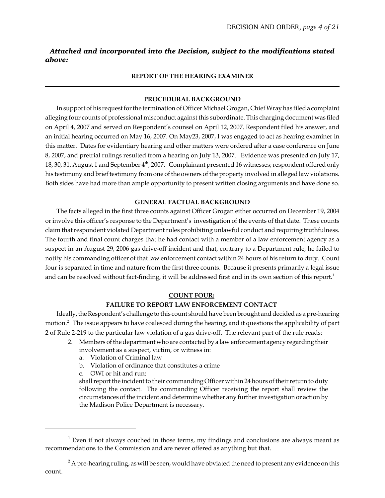# *Attached and incorporated into the Decision, subject to the modifications stated above:*

### **REPORT OF THE HEARING EXAMINER**

### **PROCEDURAL BACKGROUND**

In support of his request for the termination of Officer Michael Grogan, Chief Wray has filed a complaint alleging four counts of professional misconduct against this subordinate. This charging document was filed on April 4, 2007 and served on Respondent's counsel on April 12, 2007. Respondent filed his answer, and an initial hearing occurred on May 16, 2007. On May23, 2007, I was engaged to act as hearing examiner in this matter. Dates for evidentiary hearing and other matters were ordered after a case conference on June 8, 2007, and pretrial rulings resulted from a hearing on July 13, 2007. Evidence was presented on July 17, 18, 30, 31, August 1 and September 4<sup>th</sup>, 2007. Complainant presented 16 witnesses; respondent offered only his testimony and brief testimony from one of the owners of the property involved in alleged law violations. Both sides have had more than ample opportunity to present written closing arguments and have done so.

### **GENERAL FACTUAL BACKGROUND**

The facts alleged in the first three counts against Officer Grogan either occurred on December 19, 2004 or involve this officer's response to the Department's investigation of the events of that date. These counts claim that respondent violated Department rules prohibiting unlawful conduct and requiring truthfulness. The fourth and final count charges that he had contact with a member of a law enforcement agency as a suspect in an August 29, 2006 gas drive-off incident and that, contrary to a Department rule, he failed to notify his commanding officer of that law enforcement contact within 24 hours of his return to duty. Count four is separated in time and nature from the first three counts. Because it presents primarily a legal issue and can be resolved without fact-finding, it will be addressed first and in its own section of this report.<sup>1</sup>

#### **COUNT FOUR:**

### **FAILURE TO REPORT LAW ENFORCEMENT CONTACT**

Ideally**,** the Respondent's challenge to this count should have been brought and decided as a pre-hearing motion.<sup>2</sup> The issue appears to have coalesced during the hearing, and it questions the applicability of part 2 of Rule 2-219 to the particular law violation of a gas drive-off. The relevant part of the rule reads:

- 2. Members of the department who are contacted by a law enforcement agency regarding their involvement as a suspect, victim, or witness in:
	- a. Violation of Criminal law
	- b. Violation of ordinance that constitutes a crime
	- c. OWI or hit and run:

shall report the incident to their commanding Officer within 24 hours of their return to duty following the contact. The commanding Officer receiving the report shall review the circumstances of the incident and determine whether any further investigation or action by the Madison Police Department is necessary.

 $1$  Even if not always couched in those terms, my findings and conclusions are always meant as recommendations to the Commission and are never offered as anything but that.

 $2^2$  A pre-hearing ruling, as will be seen, would have obviated the need to present any evidence on this count.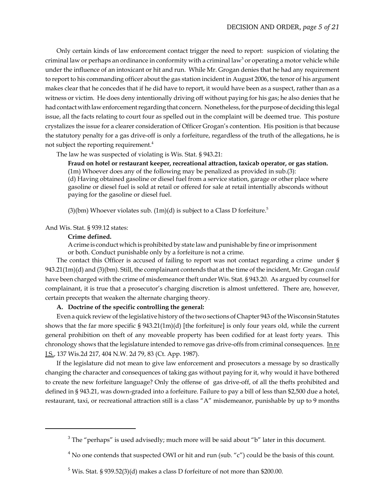Only certain kinds of law enforcement contact trigger the need to report: suspicion of violating the criminal law or perhaps an ordinance in conformity with a criminal law $^3$  or operating a motor vehicle while under the influence of an intoxicant or hit and run. While Mr. Grogan denies that he had any requirement to report to his commanding officer about the gas station incident in August 2006, the tenor of his argument makes clear that he concedes that if he did have to report, it would have been as a suspect, rather than as a witness or victim. He does deny intentionally driving off without paying for his gas; he also denies that he had contact with law enforcement regarding that concern. Nonetheless, for the purpose of deciding this legal issue, all the facts relating to court four as spelled out in the complaint will be deemed true. This posture crystalizes the issue for a clearer consideration of Officer Grogan's contention. His position is that because the statutory penalty for a gas drive-off is only a forfeiture, regardless of the truth of the allegations, he is not subject the reporting requirement.<sup>4</sup>

The law he was suspected of violating is Wis. Stat. § 943.21:

**Fraud on hotel or restaurant keeper, recreational attraction, taxicab operator, or gas station.** (1m) Whoever does any of the following may be penalized as provided in sub.(3):

(d) Having obtained gasoline or diesel fuel from a service station, garage or other place where gasoline or diesel fuel is sold at retail or offered for sale at retail intentially absconds without paying for the gasoline or diesel fuel.

(3)(bm) Whoever violates sub.  $(1m)(d)$  is subject to a Class D forfeiture.<sup>5</sup>

And Wis. Stat. § 939.12 states:

#### **Crime defined.**

A crime is conduct which is prohibited by state law and punishable by fine or imprisonment or both. Conduct punishable only by a forfeiture is not a crime.

The contact this Officer is accused of failing to report was not contact regarding a crime under § 943.21(1m)(d) and (3)(bm). Still, the complainant contends that at the time of the incident, Mr. Grogan *could* have been charged with the crime of misdemeanor theft under Wis. Stat. § 943.20. As argued by counsel for complainant, it is true that a prosecutor's charging discretion is almost unfettered. There are, however, certain precepts that weaken the alternate charging theory.

### **A. Doctrine of the specific controlling the general:**

Even a quick review of the legislative history of the two sections of Chapter 943 of the Wisconsin Statutes shows that the far more specific § 943.21(1m)(d) [the forfeiture] is only four years old, while the current general prohibition on theft of any moveable property has been codified for at least forty years. This chronology shows that the legislature intended to remove gas drive-offs from criminal consequences. In re J.S., 137 Wis.2d 217, 404 N.W. 2d 79, 83 (Ct. App. 1987).

If the legislature did not mean to give law enforcement and prosecutors a message by so drastically changing the character and consequences of taking gas without paying for it, why would it have bothered to create the new forfeiture language? Only the offense of gas drive-off, of all the thefts prohibited and defined in § 943.21, was down-graded into a forfeiture. Failure to pay a bill of less than \$2,500 due a hotel, restaurant, taxi, or recreational attraction still is a class "A" misdemeanor, punishable by up to 9 months

 $3$  The "perhaps" is used advisedly; much more will be said about "b" later in this document.

<sup>&</sup>lt;sup>4</sup> No one contends that suspected OWI or hit and run (sub. "c") could be the basis of this count.

 $5$  Wis. Stat. § 939.52(3)(d) makes a class D forfeiture of not more than \$200.00.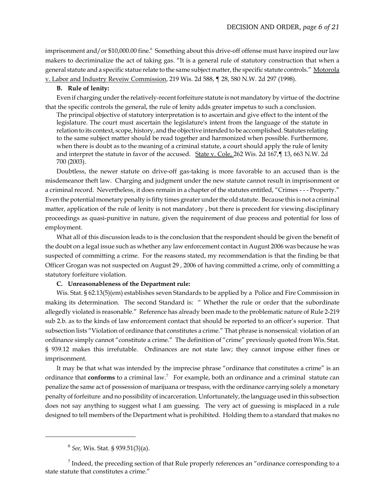imprisonment and/or \$10,000.00 fine.<sup>6</sup> Something about this drive-off offense must have inspired our law makers to decriminalize the act of taking gas. "It is a general rule of statutory construction that when a general statute and a specific statue relate to the same subject matter, the specific statute controls." Motorola v. Labor and Industry Reveiw Commission, 219 Wis. 2d 588, ¶ 28, 580 N.W. 2d 297 (1998).

#### **B. Rule of lenity:**

Even if charging under the relatively-recent forfeiture statute is not mandatory by virtue of the doctrine that the specific controls the general, the rule of lenity adds greater impetus to such a conclusion.

The principal objective of statutory interpretation is to ascertain and give effect to the intent of the legislature. The court must ascertain the legislature's intent from the language of the statute in relation to its context, scope, history, and the objective intended to be accomplished. Statutes relating to the same subject matter should be read together and harmonized when possible. Furthermore, when there is doubt as to the meaning of a criminal statute, a court should apply the rule of lenity and interpret the statute in favor of the accused. State v. Cole, 262 Wis. 2d 167, [13, 663 N.W. 2d 700 (2003).

Doubtless, the newer statute on drive-off gas-taking is more favorable to an accused than is the misdemeanor theft law. Charging and judgment under the new statute cannot result in imprisonment or a criminal record. Nevertheless, it does remain in a chapter of the statutes entitled, "Crimes - - - Property." Even the potential monetary penalty is fifty times greater under the old statute. Because this is not a criminal matter, application of the rule of lenity is not mandatory , but there is precedent for viewing disciplinary proceedings as quasi-punitive in nature, given the requirement of due process and potential for loss of employment.

What all of this discussion leads to is the conclusion that the respondent should be given the benefit of the doubt on a legal issue such as whether any law enforcement contact in August 2006 was because he was suspected of committing a crime. For the reasons stated, my recommendation is that the finding be that Officer Grogan was not suspected on August 29 , 2006 of having committed a crime, only of committing a statutory forfeiture violation.

#### **C. Unreasonableness of the Department rule:**

Wis. Stat. § 62.13(5)(em) establishes seven Standards to be applied by a Police and Fire Commission in making its determination. The second Standard is: " Whether the rule or order that the subordinate allegedly violated is reasonable." Reference has already been made to the problematic nature of Rule 2-219 sub 2.b. as to the kinds of law enforcement contact that should be reported to an officer's superior. That subsection lists "Violation of ordinance that constitutes a crime." That phrase is nonsensical: violation of an ordinance simply cannot "constitute a crime." The definition of "crime" previously quoted from Wis. Stat. § 939.12 makes this irrefutable. Ordinances are not state law; they cannot impose either fines or imprisonment.

It may be that what was intended by the imprecise phrase "ordinance that constitutes a crime" is an ordinance that **conforms** to a criminal law.<sup>7</sup> For example, both an ordinance and a criminal statute can penalize the same act of possession of marijuana or trespass, with the ordinance carrying solely a monetary penalty of forfeiture and no possibility of incarceration. Unfortunately, the language used in this subsection does not say anything to suggest what I am guessing. The very act of guessing is misplaced in a rule designed to tell members of the Department what is prohibited. Holding them to a standard that makes no

<sup>6</sup>  *See,* Wis. Stat. § 939.51(3)(a).

 $<sup>7</sup>$  Indeed, the preceding section of that Rule properly references an "ordinance corresponding to a</sup> state statute that constitutes a crime."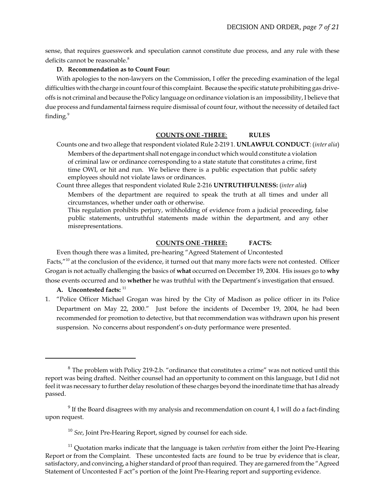sense, that requires guesswork and speculation cannot constitute due process, and any rule with these deficits cannot be reasonable.<sup>8</sup>

### **D. Recommendation as to Count Four:**

With apologies to the non-lawyers on the Commission, I offer the preceding examination of the legal difficulties with the charge in count four of this complaint. Because the specific statute prohibiting gas driveoffs is not criminal and because the Policy language on ordinance violation is an impossibility, I believe that due process and fundamental fairness require dismissal of count four, without the necessity of detailed fact finding.<sup>9</sup>

## **COUNTS ONE -THREE**: **RULES**

Counts one and two allege that respondent violated Rule 2-219 1. **UNLAWFUL CONDUCT**: (*inter alia*)

Members of the department shall not engage in conduct which would constitute a violation of criminal law or ordinance corresponding to a state statute that constitutes a crime, first time OWI, or hit and run. We believe there is a public expectation that public safety employees should not violate laws or ordinances.

Count three alleges that respondent violated Rule 2-216 **UNTRUTHFULNESS:** (*inter alia***)** Members of the department are required to speak the truth at all times and under all

circumstances, whether under oath or otherwise.

This regulation prohibits perjury, withholding of evidence from a judicial proceeding, false public statements, untruthful statements made within the department, and any other misrepresentations.

# **COUNTS ONE -THREE: FACTS:**

Even though there was a limited, pre-hearing "Agreed Statement of Uncontested Facts,"<sup>10</sup> at the conclusion of the evidence, it turned out that many more facts were not contested. Officer Grogan is not actually challenging the basics of **what** occurred on December 19, 2004. His issues go to **why** those events occurred and to **whether** he was truthful with the Department's investigation that ensued.

A. Uncontested facts:  $11$ 

1. "Police Officer Michael Grogan was hired by the City of Madison as police officer in its Police Department on May 22, 2000." Just before the incidents of December 19, 2004, he had been recommended for promotion to detective, but that recommendation was withdrawn upon his present suspension. No concerns about respondent's on-duty performance were presented.

<sup>&</sup>lt;sup>8</sup> The problem with Policy 219-2.b. "ordinance that constitutes a crime" was not noticed until this report was being drafted. Neither counsel had an opportunity to comment on this language, but I did not feel it was necessary to further delay resolution of these charges beyond the inordinate time that has already passed.

 $9$  If the Board disagrees with my analysis and recommendation on count 4, I will do a fact-finding upon request.

<sup>&</sup>lt;sup>10</sup> See, Joint Pre-Hearing Report, signed by counsel for each side.

<sup>&</sup>lt;sup>11</sup> Quotation marks indicate that the language is taken *verbatim* from either the Joint Pre-Hearing Report or from the Complaint. These uncontested facts are found to be true by evidence that is clear, satisfactory, and convincing, a higher standard of proof than required. They are garnered from the "Agreed Statement of Uncontested F act"s portion of the Joint Pre-Hearing report and supporting evidence.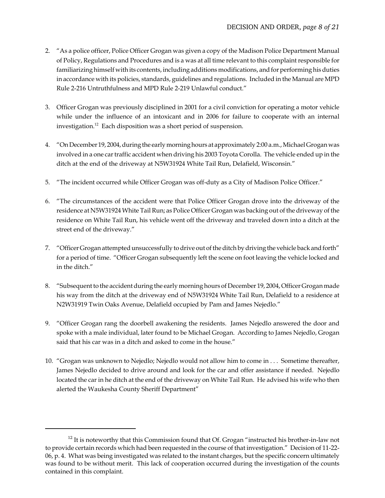- 2. "As a police officer, Police Officer Grogan was given a copy of the Madison Police Department Manual of Policy, Regulations and Procedures and is a was at all time relevant to this complaint responsible for familiarizing himself with its contents, including additions modifications, and for performing his duties in accordance with its policies, standards, guidelines and regulations. Included in the Manual are MPD Rule 2-216 Untruthfulness and MPD Rule 2-219 Unlawful conduct."
- 3. Officer Grogan was previously disciplined in 2001 for a civil conviction for operating a motor vehicle while under the influence of an intoxicant and in 2006 for failure to cooperate with an internal investigation.<sup>12</sup> Each disposition was a short period of suspension.
- 4. "On December 19, 2004, during the early morning hours at approximately 2:00 a.m., Michael Grogan was involved in a one car traffic accident when driving his 2003 Toyota Corolla. The vehicle ended up in the ditch at the end of the driveway at N5W31924 White Tail Run, Delafield, Wisconsin."
- 5. "The incident occurred while Officer Grogan was off-duty as a City of Madison Police Officer."
- 6. "The circumstances of the accident were that Police Officer Grogan drove into the driveway of the residence at N5W31924 White Tail Run; as Police Officer Grogan was backing out of the driveway of the residence on White Tail Run, his vehicle went off the driveway and traveled down into a ditch at the street end of the driveway."
- 7. "Officer Grogan attempted unsuccessfully to drive out of the ditch by driving the vehicle back and forth" for a period of time. "Officer Grogan subsequently left the scene on foot leaving the vehicle locked and in the ditch."
- 8. "Subsequent to the accident during the early morning hours of December 19, 2004, Officer Grogan made his way from the ditch at the driveway end of N5W31924 White Tail Run, Delafield to a residence at N2W31919 Twin Oaks Avenue, Delafield occupied by Pam and James Nejedlo."
- 9. "Officer Grogan rang the doorbell awakening the residents. James Nejedlo answered the door and spoke with a male individual, later found to be Michael Grogan. According to James Nejedlo, Grogan said that his car was in a ditch and asked to come in the house."
- 10. "Grogan was unknown to Nejedlo; Nejedlo would not allow him to come in . . . Sometime thereafter, James Nejedlo decided to drive around and look for the car and offer assistance if needed. Nejedlo located the car in he ditch at the end of the driveway on White Tail Run. He advised his wife who then alerted the Waukesha County Sheriff Department"

 $12$  It is noteworthy that this Commission found that Of. Grogan "instructed his brother-in-law not to provide certain records which had been requested in the course of that investigation." Decision of 11-22- 06, p. 4. What was being investigated was related to the instant charges, but the specific concern ultimately was found to be without merit. This lack of cooperation occurred during the investigation of the counts contained in this complaint.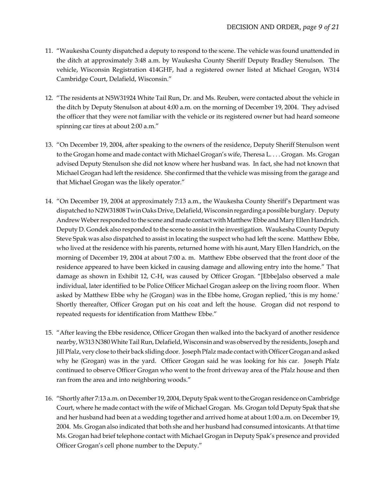- 11. "Waukesha County dispatched a deputy to respond to the scene. The vehicle was found unattended in the ditch at approximately 3:48 a.m. by Waukesha County Sheriff Deputy Bradley Stenulson. The vehicle, Wisconsin Registration 414GHF, had a registered owner listed at Michael Grogan, W314 Cambridge Court, Delafield, Wisconsin."
- 12. "The residents at N5W31924 White Tail Run, Dr. and Ms. Reuben, were contacted about the vehicle in the ditch by Deputy Stenulson at about 4:00 a.m. on the morning of December 19, 2004. They advised the officer that they were not familiar with the vehicle or its registered owner but had heard someone spinning car tires at about 2:00 a.m."
- 13. "On December 19, 2004, after speaking to the owners of the residence, Deputy Sheriff Stenulson went to the Grogan home and made contact with Michael Grogan's wife, Theresa L. . . . Grogan. Ms. Grogan advised Deputy Stenulson she did not know where her husband was. In fact, she had not known that Michael Grogan had left the residence. She confirmed that the vehicle was missing from the garage and that Michael Grogan was the likely operator."
- 14. "On December 19, 2004 at approximately 7:13 a.m., the Waukesha County Sheriff's Department was dispatched to N2W31808 Twin Oaks Drive, Delafield, Wisconsin regarding a possible burglary. Deputy Andrew Weber responded to the scene and made contact with Matthew Ebbe and Mary Ellen Handrich. Deputy D. Gondek also responded to the scene to assist in the investigation. Waukesha County Deputy Steve Spak was also dispatched to assist in locating the suspect who had left the scene. Matthew Ebbe, who lived at the residence with his parents, returned home with his aunt, Mary Ellen Handrich, on the morning of December 19, 2004 at about 7:00 a. m. Matthew Ebbe observed that the front door of the residence appeared to have been kicked in causing damage and allowing entry into the home." That damage as shown in Exhibit 12, C-H, was caused by Officer Grogan. "[Ebbe]also observed a male individual, later identified to be Police Officer Michael Grogan asleep on the living room floor. When asked by Matthew Ebbe why he (Grogan) was in the Ebbe home, Grogan replied, 'this is my home.' Shortly thereafter, Officer Grogan put on his coat and left the house. Grogan did not respond to repeated requests for identification from Matthew Ebbe."
- 15. "After leaving the Ebbe residence, Officer Grogan then walked into the backyard of another residence nearby, W313 N380 White Tail Run, Delafield, Wisconsin and was observed by the residents, Joseph and Jill Pfalz, very close to their back sliding door. Joseph Pfalz made contact with Officer Grogan and asked why he (Grogan) was in the yard. Officer Grogan said he was looking for his car. Joseph Pfalz continued to observe Officer Grogan who went to the front driveway area of the Pfalz house and then ran from the area and into neighboring woods."
- 16. "Shortly after 7:13 a.m. on December 19, 2004, Deputy Spak went to the Grogan residence on Cambridge Court, where he made contact with the wife of Michael Grogan. Ms. Grogan told Deputy Spak that she and her husband had been at a wedding together and arrived home at about 1:00 a.m. on December 19, 2004. Ms. Grogan also indicated that both she and her husband had consumed intoxicants. At that time Ms. Grogan had brief telephone contact with Michael Grogan in Deputy Spak's presence and provided Officer Grogan's cell phone number to the Deputy."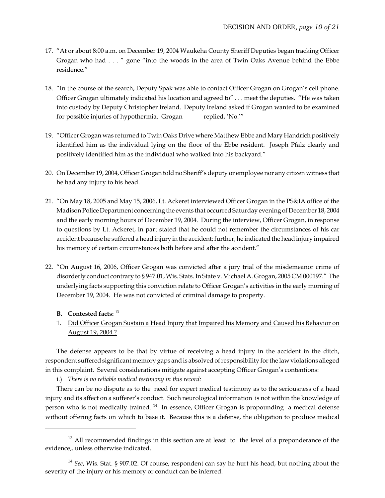- 17. "At or about 8:00 a.m. on December 19, 2004 Waukeha County Sheriff Deputies began tracking Officer Grogan who had . . . " gone "into the woods in the area of Twin Oaks Avenue behind the Ebbe residence."
- 18. "In the course of the search, Deputy Spak was able to contact Officer Grogan on Grogan's cell phone. Officer Grogan ultimately indicated his location and agreed to" . . . meet the deputies. "He was taken into custody by Deputy Christopher Ireland. Deputy Ireland asked if Grogan wanted to be examined for possible injuries of hypothermia. Grogan replied, 'No.'"
- 19. "Officer Grogan was returned to Twin Oaks Drive where Matthew Ebbe and Mary Handrich positively identified him as the individual lying on the floor of the Ebbe resident. Joseph Pfalz clearly and positively identified him as the individual who walked into his backyard."
- 20. On December 19, 2004, Officer Grogan told no Sheriff's deputy or employee nor any citizen witness that he had any injury to his head.
- 21. "On May 18, 2005 and May 15, 2006, Lt. Ackeret interviewed Officer Grogan in the PS&IA office of the Madison Police Department concerning the events that occurred Saturday evening of December 18, 2004 and the early morning hours of December 19, 2004. During the interview, Officer Grogan, in response to questions by Lt. Ackeret, in part stated that he could not remember the circumstances of his car accident because he suffered a head injury in the accident; further, he indicated the head injury impaired his memory of certain circumstances both before and after the accident."
- 22. "On August 16, 2006, Officer Grogan was convicted after a jury trial of the misdemeanor crime of disorderly conduct contrary to § 947.01, Wis. Stats. In State v. Michael A. Grogan, 2005 CM 000197." The underlying facts supporting this conviction relate to Officer Grogan's activities in the early morning of December 19, 2004. He was not convicted of criminal damage to property.

## **B. Contested facts:** <sup>13</sup>

1. Did Officer Grogan Sustain a Head Injury that Impaired his Memory and Caused his Behavior on August 19, 2004 ?

The defense appears to be that by virtue of receiving a head injury in the accident in the ditch, respondent suffered significant memory gaps and is absolved of responsibility for the law violations alleged in this complaint. Several considerations mitigate against accepting Officer Grogan's contentions:

i.) *There is no reliable medical testimony in this record:*

There can be no dispute as to the need for expert medical testimony as to the seriousness of a head injury and its affect on a sufferer's conduct. Such neurological information is not within the knowledge of person who is not medically trained. <sup>14</sup>In essence, Officer Grogan is propounding a medical defense without offering facts on which to base it. Because this is a defense, the obligation to produce medical

<sup>&</sup>lt;sup>13</sup> All recommended findings in this section are at least to the level of a preponderance of the evidence,. unless otherwise indicated.

<sup>14</sup> *See*, Wis. Stat. § 907.02. Of course, respondent can say he hurt his head, but nothing about the severity of the injury or his memory or conduct can be inferred.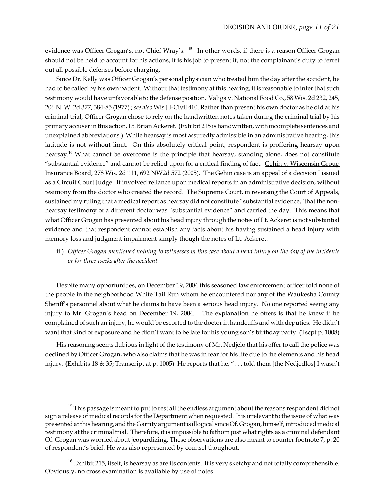evidence was Officer Grogan's, not Chief Wray's. <sup>15</sup> In other words, if there is a reason Officer Grogan should not be held to account for his actions, it is his job to present it, not the complainant's duty to ferret out all possible defenses before charging.

Since Dr. Kelly was Officer Grogan's personal physician who treated him the day after the accident, he had to be called by his own patient. Without that testimony at this hearing, it is reasonable to infer that such testimony would have unfavorable to the defense position. Valiga v. National Food Co., 58 Wis. 2d 232, 245, 206 N. W. 2d 377, 384-85 (1977) ; *see also* Wis J I-Civil 410. Rather than present his own doctor as he did at his criminal trial, Officer Grogan chose to rely on the handwritten notes taken during the criminal trial by his primary accuser in this action, Lt. Brian Ackeret. (Exhibit 215 is handwritten, with incomplete sentences and unexplained abbreviations.) While hearsay is most assuredly admissible in an administrative hearing, this latitude is not without limit. On this absolutely critical point, respondent is proffering hearsay upon hearsay.<sup>16</sup> What cannot be overcome is the principle that hearsay, standing alone, does not constitute "substantial evidence" and cannot be relied upon for a critical finding of fact. Gehin v. Wisconsin Group Insurance Board, 278 Wis. 2d 111, 692 NW2d 572 (2005). The Gehin case is an appeal of a decision I issued as a Circuit Court Judge. It involved reliance upon medical reports in an administrative decision, without tesimony from the doctor who created the record. The Supreme Court, in reversing the Court of Appeals, sustained my ruling that a medical report as hearsay did not constitute "substantial evidence,"that the nonhearsay testimony of a different doctor was "substantial evidence" and carried the day. This means that what Officer Grogan has presented about his head injury through the notes of Lt. Ackeret is not substantial evidence and that respondent cannot establish any facts about his having sustained a head injury with memory loss and judgment impairment simply though the notes of Lt. Ackeret.

ii.) *Officer Grogan mentioned nothing to witnesses in this case about a head injury on the day of the incidents or for three weeks after the accident.*

Despite many opportunities, on December 19, 2004 this seasoned law enforcement officer told none of the people in the neighborhood White Tail Run whom he encountered nor any of the Waukesha County Sheriff's personnel about what he claims to have been a serious head injury.No one reported seeing any injury to Mr. Grogan's head on December 19, 2004. The explanation he offers is that he knew if he complained of such an injury, he would be escorted to the doctor in handcuffs and with deputies. He didn't want that kind of exposure and he didn't want to be late for his young son's birthday party. (Tscpt p. 1008)

His reasoning seems dubious in light of the testimony of Mr. Nedjelo that his offer to call the police was declined by Officer Grogan, who also claims that he was in fear for his life due to the elements and his head injury. **(**Exhibits 18 & 35; Transcript at p. 1005) He reports that he, ". . . told them [the Nedjedlos] I wasn't

<sup>&</sup>lt;sup>15</sup> This passage is meant to put to rest all the endless argument about the reasons respondent did not sign a release of medical records for the Department when requested. It is irrelevant to the issue of what was presented at this hearing, and the Garrity argument is illogical since Of. Grogan, himself, introduced medical testimony at the criminal trial. Therefore, it is impossible to fathom just what rights as a criminal defendant Of. Grogan was worried about jeopardizing. These observations are also meant to counter footnote 7, p. 20 of respondent's brief. He was also represented by counsel thoughout.

 $16$  Exhibit 215, itself, is hearsay as are its contents. It is very sketchy and not totally comprehensible. Obviously, no cross examination is available by use of notes.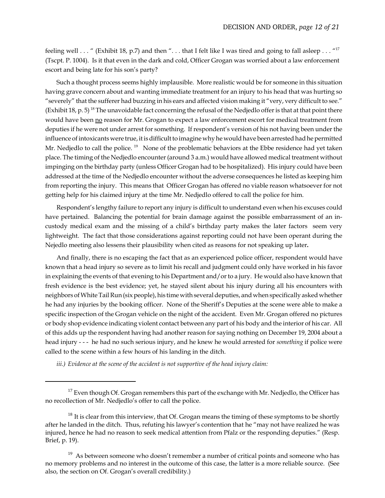feeling well  $\ldots$  " (Exhibit 18, p.7) and then "... that I felt like I was tired and going to fall asleep  $\ldots$  "17" (Tscpt. P. 1004). Is it that even in the dark and cold, Officer Grogan was worried about a law enforcement escort and being late for his son's party?

Such a thought process seems highly implausible. More realistic would be for someone in this situation having grave concern about and wanting immediate treatment for an injury to his head that was hurting so "severely" that the sufferer had buzzing in his ears and affected vision making it "very, very difficult to see." (Exhibit 18, p. 5)<sup>18</sup> The unavoidable fact concerning the refusal of the Nedjedlo offer is that at that point there would have been no reason for Mr. Grogan to expect a law enforcement escort for medical treatment from deputies if he were not under arrest for something. If respondent's version of his not having been under the influence of intoxicants were true, it is difficult to imagine why he would have been arrested had he permitted Mr. Nedjedlo to call the police.<sup>19</sup> None of the problematic behaviors at the Ebbe residence had yet taken place. The timing of the Nedjedlo encounter (around 3 a.m.) would have allowed medical treatment without impinging on the birthday party (unless Officer Grogan had to be hospitalized). His injury could have been addressed at the time of the Nedjedlo encounter without the adverse consequences he listed as keeping him from reporting the injury. This means that Officer Grogan has offered no viable reason whatsoever for not getting help for his claimed injury at the time Mr. Nedjedlo offered to call the police for him.

Respondent's lengthy failure to report any injury is difficult to understand even when his excuses could have pertained. Balancing the potential for brain damage against the possible embarrassment of an incustody medical exam and the missing of a child's birthday party makes the later factors seem very lightweight. The fact that those considerations against reporting could not have been operant during the Nejedlo meeting also lessens their plausibility when cited as reasons for not speaking up later**.** 

And finally, there is no escaping the fact that as an experienced police officer, respondent would have known that a head injury so severe as to limit his recall and judgment could only have worked in his favor in explaining the events of that evening to his Department and/or to a jury. He would also have known that fresh evidence is the best evidence; yet, he stayed silent about his injury during all his encounters with neighbors of White Tail Run (six people), his time with several deputies, and when specifically asked whether he had any injuries by the booking officer.None of the Sheriff's Deputies at the scene were able to make a specific inspection of the Grogan vehicle on the night of the accident. Even Mr. Grogan offered no pictures or body shop evidence indicating violent contact between any part of his body and the interior of his car. All of this adds up the respondent having had another reason for saying nothing on December 19, 2004 about a head injury - - - he had no such serious injury, and he knew he would arrested for *something* if police were called to the scene within a few hours of his landing in the ditch.

*iii.) Evidence at the scene of the accident is not supportive of the head injury claim:*

 $17$  Even though Of. Grogan remembers this part of the exchange with Mr. Nedjedlo, the Officer has no recollection of Mr. Nedjedlo's offer to call the police.

 $18$  It is clear from this interview, that Of. Grogan means the timing of these symptoms to be shortly after he landed in the ditch. Thus, refuting his lawyer's contention that he "may not have realized he was injured, hence he had no reason to seek medical attention from Pfalz or the responding deputies." (Resp. Brief, p. 19).

 $19$  As between someone who doesn't remember a number of critical points and someone who has no memory problems and no interest in the outcome of this case, the latter is a more reliable source. (See also, the section on Of. Grogan's overall credibility.)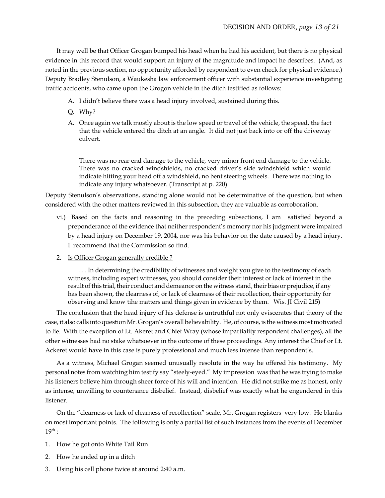It may well be that Officer Grogan bumped his head when he had his accident, but there is no physical evidence in this record that would support an injury of the magnitude and impact he describes.(And, as noted in the previous section, no opportunity afforded by respondent to even check for physical evidence.) Deputy Bradley Stenulson, a Waukesha law enforcement officer with substantial experience investigating traffic accidents, who came upon the Grogon vehicle in the ditch testified as follows:

- A. I didn't believe there was a head injury involved, sustained during this.
- Q. Why?
- A. Once again we talk mostly about is the low speed or travel of the vehicle, the speed, the fact that the vehicle entered the ditch at an angle. It did not just back into or off the driveway culvert.

There was no rear end damage to the vehicle, very minor front end damage to the vehicle. There was no cracked windshields, no cracked driver's side windshield which would indicate hitting your head off a windshield, no bent steering wheels. There was nothing to indicate any injury whatsoever. (Transcript at p. 220)

Deputy Stenulson's observations, standing alone would not be determinative of the question, but when considered with the other matters reviewed in this subsection, they are valuable as corroboration.

- vi.) Based on the facts and reasoning in the preceding subsections, I am satisfied beyond a preponderance of the evidence that neither respondent's memory nor his judgment were impaired by a head injury on December 19, 2004, nor was his behavior on the date caused by a head injury. I recommend that the Commission so find.
- 2. Is Officer Grogan generally credible ?

. . . In determining the credibility of witnesses and weight you give to the testimony of each witness, including expert witnesses, you should consider their interest or lack of interest in the result of this trial, their conduct and demeanor on the witness stand, their bias or prejudice, if any has been shown, the clearness of, or lack of clearness of their recollection, their opportunity for observing and know tihe matters and things given in evidence by them. Wis. JI Civil 215**)**

The conclusion that the head injury of his defense is untruthful not only eviscerates that theory of the case, it also calls into question Mr. Grogan's overall believability. He, of course, is the witness most motivated to lie. With the exception of Lt. Akeret and Chief Wray (whose impartiality respondent challenges), all the other witnesses had no stake whatsoever in the outcome of these proceedings. Any interest the Chief or Lt. Ackeret would have in this case is purely professional and much less intense than respondent's.

As a witness, Michael Grogan seemed unusually resolute in the way he offered his testimony. My personal notes from watching him testify say "steely-eyed." My impression was that he was trying to make his listeners believe him through sheer force of his will and intention. He did not strike me as honest, only as intense, unwilling to countenance disbelief. Instead, disbelief was exactly what he engendered in this listener.

On the "clearness or lack of clearness of recollection" scale, Mr. Grogan registers very low. He blanks on most important points. The following is only a partial list of such instances from the events of December  $19^{\text{th}}$ :

- 1. How he got onto White Tail Run
- 2. How he ended up in a ditch
- 3. Using his cell phone twice at around 2:40 a.m.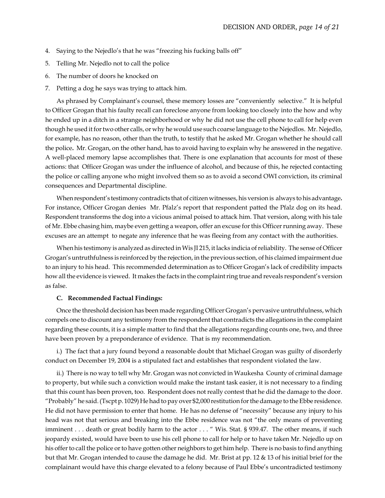- 4. Saying to the Nejedlo's that he was "freezing his fucking balls off"
- 5. Telling Mr. Nejedlo not to call the police
- 6. The number of doors he knocked on
- 7. Petting a dog he says was trying to attack him.

As phrased by Complainant's counsel, these memory losses are "conveniently selective."It is helpful to Officer Grogan that his faulty recall can foreclose anyone from looking too closely into the how and why he ended up in a ditch in a strange neighborhood or why he did not use the cell phone to call for help even though he used it for two other calls, or why he would use such coarse language to the Nejedlos. Mr. Nejedlo, for example, has no reason, other than the truth, to testify that he asked Mr. Grogan whether he should call the police**.** Mr. Grogan, on the other hand, has to avoid having to explain why he answered in the negative. A well-placed memory lapse accomplishes that. There is one explanation that accounts for most of these actions: that Officer Grogan was under the influence of alcohol, and because of this, he rejected contacting the police or calling anyone who might involved them so as to avoid a second OWI conviction, its criminal consequences and Departmental discipline.

When respondent's testimony contradicts that of citizen witnesses, his version is always to his advantage**.** For instance, Officer Grogan denies Mr. Pfalz's report that respondent patted the Pfalz dog on its head. Respondent transforms the dog into a vicious animal poised to attack him. That version, along with his tale of Mr. Ebbe chasing him, maybe even getting a weapon, offer an excuse for this Officer running away. These excuses are an attempt to negate any inference that he was fleeing from any contact with the authorities.

When his testimony is analyzed as directed in Wis JI 215, it lacks indicia of reliability. The sense of Officer Grogan's untruthfulness is reinforced by the rejection, in the previous section, of his claimed impairment due to an injury to his head. This recommended determination as to Officer Grogan's lack of credibility impacts how all the evidence is viewed. It makes the facts in the complaint ring true and reveals respondent's version as false.

#### **C. Recommended Factual Findings:**

Once the threshold decision has been made regarding Officer Grogan's pervasive untruthfulness, which compels one to discount any testimony from the respondent that contradicts the allegations in the complaint regarding these counts, it is a simple matter to find that the allegations regarding counts one, two, and three have been proven by a preponderance of evidence. That is my recommendation.

i.) The fact that a jury found beyond a reasonable doubt that Michael Grogan was guilty of disorderly conduct on December 19, 2004 is a stipulated fact and establishes that respondent violated the law.

ii.) There is no way to tell why Mr. Grogan was not convicted in Waukesha County of criminal damage to property, but while such a conviction would make the instant task easier, it is not necessary to a finding that this count has been proven, too. Respondent does not really contest that he did the damage to the door. "Probably" he said. (Tscpt p. 1029) He had to pay over \$2,000 restitution for the damage to the Ebbe residence. He did not have permission to enter that home. He has no defense of "necessity" because any injury to his head was not that serious and breaking into the Ebbe residence was not "the only means of preventing imminent . . . death or great bodily harm to the actor . . . " Wis. Stat. § 939.47. The other means, if such jeopardy existed, would have been to use his cell phone to call for help or to have taken Mr. Nejedlo up on his offer to call the police or to have gotten other neighbors to get him help. There is no basis to find anything but that Mr. Grogan intended to cause the damage he did. Mr. Brist at pp. 12 & 13 of his initial brief for the complainant would have this charge elevated to a felony because of Paul Ebbe's uncontradicted testimony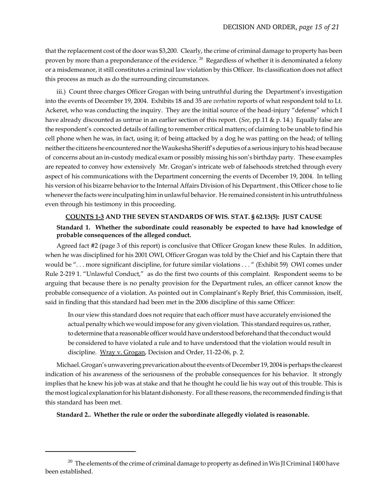that the replacement cost of the door was \$3,200.Clearly, the crime of criminal damage to property has been proven by more than a preponderance of the evidence.  $^{20}$  Regardless of whether it is denominated a felony or a misdemeanor, it still constitutes a criminal law violation by this Officer. Its classification does not affect this process as much as do the surrounding circumstances.

iii.) Count three charges Officer Grogan with being untruthful during the Department's investigation into the events of December 19, 2004. Exhibits 18 and 35 are *verbatim* reports of what respondent told to Lt. Ackeret, who was conducting the inquiry. They are the initial source of the head-injury "defense" which I have already discounted as untrue in an earlier section of this report. (*See*, pp.11 & p. 14.) Equally false are the respondent's concocted details of failing to remember critical matters; of claiming to be unable to find his cell phone when he was, in fact, using it; of being attacked by a dog he was patting on the head; of telling neither the citizens he encountered nor the Waukesha Sheriff's deputies of a serious injury to his head because of concerns about an in-custody medical exam or possibly missing his son's birthday party. These examples are repeated to convey how extensively Mr. Grogan's intricate web of falsehoods stretched through every aspect of his communications with the Department concerning the events of December 19, 2004. In telling his version of his bizarre behavior to the Internal Affairs Division of his Department , this Officer chose to lie whenever the facts were inculpating him in unlawful behavior. He remained consistent in his untruthfulness even through his testimony in this proceeding.

## **COUNTS 1-3 AND THE SEVEN STANDARDS OF WIS. STAT. § 62.13(5): JUST CAUSE**

### **Standard 1. Whether the subordinate could reasonably be expected to have had knowledge of probable consequences of the alleged conduct.**

Agreed fact #2 (page 3 of this report) is conclusive that Officer Grogan knew these Rules. In addition, when he was disciplined for his 2001 OWI, Officer Grogan was told by the Chief and his Captain there that would be ". . . more significant discipline, for future similar violations . . . " (Exhibit 59) OWI comes under Rule 2-219 1. "Unlawful Conduct," as do the first two counts of this complaint. Respondent seems to be arguing that because there is no penalty provision for the Department rules, an officer cannot know the probable consequence of a violation. As pointed out in Complainant's Reply Brief, this Commission, itself, said in finding that this standard had been met in the 2006 discipline of this same Officer:

In our view this standard does not require that each officer must have accurately envisioned the actual penalty which we would impose for any given violation. This standard requires us, rather, to determine that a reasonable officer would have understood beforehand that the conduct would be considered to have violated a rule and to have understood that the violation would result in discipline. Wray v. Grogan, Decision and Order, 11-22-06, p. 2.

Michael. Grogan's unwavering prevarication about the events of December 19, 2004 is perhaps the clearest indication of his awareness of the seriousness of the probable consequences for his behavior. It strongly implies that he knew his job was at stake and that he thought he could lie his way out of this trouble. This is the most logical explanation for his blatant dishonesty. For all these reasons, the recommended finding is that this standard has been met.

**Standard 2.. Whether the rule or order the subordinate allegedly violated is reasonable.**

<sup>&</sup>lt;sup>20</sup> The elements of the crime of criminal damage to property as defined in Wis JI Criminal 1400 have been established.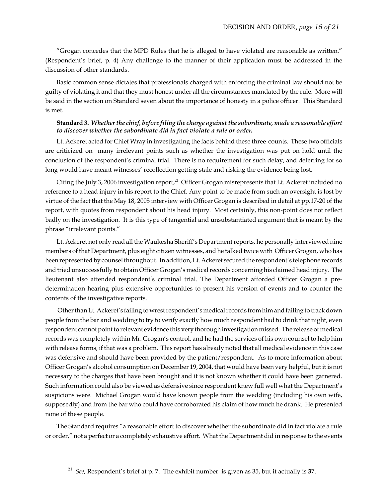"Grogan concedes that the MPD Rules that he is alleged to have violated are reasonable as written." (Respondent's brief, p. 4) Any challenge to the manner of their application must be addressed in the discussion of other standards.

Basic common sense dictates that professionals charged with enforcing the criminal law should not be guilty of violating it and that they must honest under all the circumstances mandated by the rule. More will be said in the section on Standard seven about the importance of honesty in a police officer. This Standard is met.

### **Standard 3.** *Whether the chief, before filing the charge against the subordinate, made a reasonable effort to discover whether the subordinate did in fact violate a rule or order.*

Lt. Ackeret acted for Chief Wray in investigating the facts behind these three counts. These two officials are criticized on many irrelevant points such as whether the investigation was put on hold until the conclusion of the respondent's criminal trial. There is no requirement for such delay, and deferring for so long would have meant witnesses' recollection getting stale and risking the evidence being lost.

Citing the July 3, 2006 investigation report,<sup>21</sup> Officer Grogan misrepresents that Lt. Ackeret included no reference to a head injury in his report to the Chief. Any point to be made from such an oversight is lost by virtue of the fact that the May 18, 2005 interview with Officer Grogan is described in detail at pp.17-20 of the report, with quotes from respondent about his head injury. Most certainly, this non-point does not reflect badly on the investigation. It is this type of tangential and unsubstantiated argument that is meant by the phrase "irrelevant points."

Lt. Ackeret not only read all the Waukesha Sheriff's Department reports, he personally interviewed nine members of that Department, plus eight citizen witnesses, and he talked twice with Officer Grogan, who has been represented by counsel throughout. In addition, Lt. Ackeret secured the respondent's telephone records and tried unsuccessfully to obtain Officer Grogan's medical records concerning his claimed head injury. The lieutenant also attended respondent's criminal trial. The Department afforded Officer Grogan a predetermination hearing plus extensive opportunities to present his version of events and to counter the contents of the investigative reports.

 Other than Lt. Ackeret's failing to wrest respondent's medical records from him and failing to track down people from the bar and wedding to try to verify exactly how much respondent had to drink that night, even respondent cannot point to relevant evidence this very thorough investigation missed. The release of medical records was completely within Mr. Grogan's control, and he had the services of his own counsel to help him with release forms, if that was a problem. This report has already noted that all medical evidence in this case was defensive and should have been provided by the patient/respondent. As to more information about Officer Grogan's alcohol consumption on December 19, 2004, that would have been very helpful, but it is not necessary to the charges that have been brought and it is not known whether it could have been garnered. Such information could also be viewed as defensive since respondent knew full well what the Department's suspicions were. Michael Grogan would have known people from the wedding (including his own wife, supposedly) and from the bar who could have corroborated his claim of how much he drank. He presented none of these people.

The Standard requires "a reasonable effort to discover whether the subordinate did in fact violate a rule or order," not a perfect or a completely exhaustive effort. What the Department did in response to the events

<sup>21</sup> *See,* Respondent's brief at p. 7. The exhibit number is given as 35, but it actually is **3**7.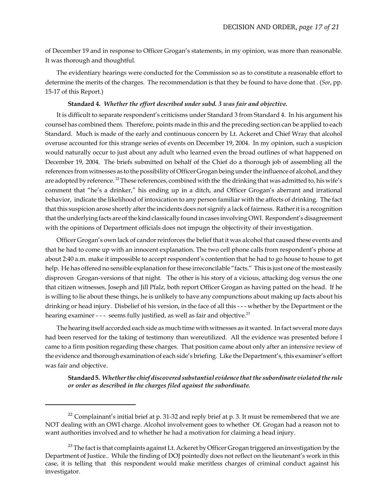of December 19 and in response to Officer Grogan's statements, in my opinion, was more than reasonable. It was thorough and thoughtful.

The evidentiary hearings were conducted for the Commission so as to constitute a reasonable effort to determine the merits of the charges. The recommendation is that they be found to have done that . (*See*, pp. 15-17 of this Report.)

### **Standard 4.** *Whether the effort described under subd. 3 was fair and objective.*

It is difficult to separate respondent's criticisms under Standard 3 from Standard 4. In his argument his counsel has combined them. Therefore, points made in this and the preceding section can be applied to each Standard. Much is made of the early and continuous concern by Lt. Ackeret and Chief Wray that alcohol overuse accounted for this strange series of events on December 19, 2004. In my opinion, such a suspicion would naturally occur to just about any adult who learned even the broad outlines of what happened on December 19, 2004. The briefs submitted on behalf of the Chief do a thorough job of assembling all the references from witnesses as to the possibility of Officer Grogan being under the influence of alcohol, and they are adopted by reference. <sup>22</sup> These references, combined with the the drinking that was admitted to, his wife's comment that "he's a drinker," his ending up in a ditch, and Officer Grogan's aberrant and irrational behavior, indicate the likelihood of intoxication to any person familiar with the affects of drinking. The fact that this suspicion arose shortly after the incidents does not signify a lack of fairness. Rather it is a recognition that the underlying facts are of the kind classically found in cases involving OWI. Respondent's disagreement with the opinions of Department officials does not impugn the objectivity of their investigation.

Officer Grogan's own lack of candor reinforces the belief that it was alcohol that caused these events and that he had to come up with an innocent explanation. The two cell phone calls from respondent's phone at about 2:40 a.m. make it impossible to accept respondent's contention that he had to go house to house to get help. He has offered no sensible explanation for these irreconcilable "facts." This is just one of the most easily disproven Grogan-versions of that night. The other is his story of a vicious, attacking dog versus the one that citizen witnesses, Joseph and Jill Pfalz, both report Officer Grogan as having patted on the head. If he is willing to lie about these things, he is unlikely to have any compunctions about making up facts about his drinking or head injury. Disbelief of his version, in the face of all this - - - whether by the Department or the hearing examiner - - - seems fully justified, as well as fair and objective.<sup>23</sup>

The hearing itself accorded each side as much time with witnesses as it wanted. In fact several more days had been reserved for the taking of testimony than wereutilized. All the evidence was presented before I came to a firm position regarding these charges. That position came about only after an intensive review of the evidence and thorough examination of each side's briefing. Like the Department's, this examiner's effort was fair and objective.

**Standard 5.** *Whether the chief discovered substantial evidence that the subordinate violated the rule or order as described in the charges filed against the subordinate.*

 $22$  Complainant's initial brief at p. 31-32 and reply brief at p. 3. It must be remembered that we are NOT dealing with an OWI charge. Alcohol involvement goes to whether Of. Grogan had a reason not to want authorities involved and to whether he had a motivation for claiming a head injury.

<sup>&</sup>lt;sup>23</sup> The fact is that complaints against Lt. Ackeret by Officer Grogan triggered an investigation by the Department of Justice.. While the finding of DOJ pointedly does not reflect on the lieutenant's work in this case, it is telling that this respondent would make meritless charges of criminal conduct against his investigator.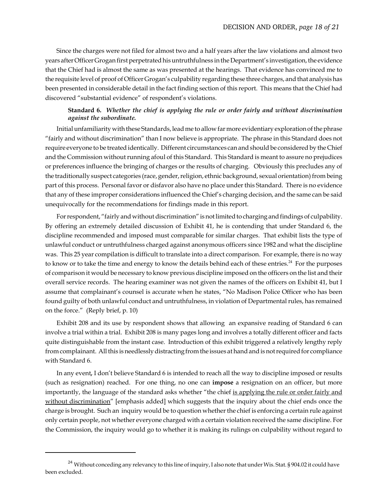Since the charges were not filed for almost two and a half years after the law violations and almost two years after Officer Grogan first perpetrated his untruthfulness in the Department's investigation, the evidence that the Chief had is almost the same as was presented at the hearings. That evidence has convinced me to the requisite level of proof of Officer Grogan's culpability regarding these three charges, and that analysis has been presented in considerable detail in the fact finding section of this report. This means that the Chief had discovered "substantial evidence" of respondent's violations.

# **Standard 6.** *Whether the chief is applying the rule or order fairly and without discrimination against the subordinate.*

Initial unfamiliarity with these Standards, lead me to allow far more evidentiary exploration of the phrase "fairly and without discrimination" than I now believe is appropriate. The phrase in this Standard does not require everyone to be treated identically. Different circumstances can and should be considered by the Chief and the Commission without running afoul of this Standard. This Standard is meant to assure no prejudices or preferences influence the bringing of charges or the results of charging. Obviously this precludes any of the traditionally suspect categories (race, gender, religion, ethnic background, sexual orientation) from being part of this process. Personal favor or disfavor also have no place under this Standard. There is no evidence that any of these improper considerations influenced the Chief's charging decision, and the same can be said unequivocally for the recommendations for findings made in this report.

For respondent, "fairly and without discrimination" is not limited to charging and findings of culpability. By offering an extremely detailed discussion of Exhibit 41, he is contending that under Standard 6, the discipline recommended and imposed must comparable for similar charges. That exhibit lists the type of unlawful conduct or untruthfulness charged against anonymous officers since 1982 and what the discipline was. This 25 year compilation is difficult to translate into a direct comparison. For example, there is no way to know or to take the time and energy to know the details behind each of these entries.<sup>24</sup> For the purposes of comparison it would be necessary to know previous discipline imposed on the officers on the list and their overall service records. The hearing examiner was not given the names of the officers on Exhibit 41, but I assume that complainant's counsel is accurate when he states, "No Madison Police Officer who has been found guilty of both unlawful conduct and untruthfulness, in violation of Departmental rules, has remained on the force." (Reply brief, p. 10)

Exhibit 208 and its use by respondent shows that allowing an expansive reading of Standard 6 can involve a trial within a trial. Exhibit 208 is many pages long and involves a totally different officer and facts quite distinguishable from the instant case. Introduction of this exhibit triggered a relatively lengthy reply from complainant. All this is needlessly distracting from the issues at hand and is not required for compliance with Standard 6.

In any event*,* I don't believe Standard 6 is intended to reach all the way to discipline imposed or results (such as resignation) reached. For one thing, no one can **impose** a resignation on an officer, but more importantly, the language of the standard asks whether "the chief is applying the rule or order fairly and without discrimination" [emphasis added] which suggests that the inquiry about the chief ends once the charge is brought. Such an inquiry would be to question whether the chief is enforcing a certain rule against only certain people, not whether everyone charged with a certain violation received the same discipline. For the Commission, the inquiry would go to whether it is making its rulings on culpability without regard to

 $24$  Without conceding any relevancy to this line of inquiry, I also note that under Wis. Stat. § 904.02 it could have been excluded.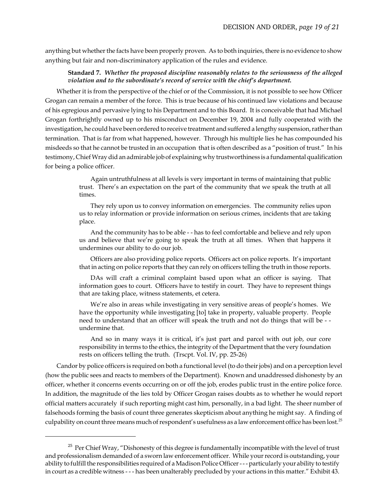anything but whether the facts have been properly proven. As to both inquiries, there is no evidence to show anything but fair and non-discriminatory application of the rules and evidence.

### **Standard 7.** *Whether the proposed discipline reasonably relates to the seriousness of the alleged violation and to the subordinate's record of service with the chief's department.*

Whether it is from the perspective of the chief or of the Commission, it is not possible to see how Officer Grogan can remain a member of the force. This is true because of his continued law violations and because of his egregious and pervasive lying to his Department and to this Board. It is conceivable that had Michael Grogan forthrightly owned up to his misconduct on December 19, 2004 and fully cooperated with the investigation, he could have been ordered to receive treatment and suffered a lengthy suspension, rather than termination. That is far from what happened, however. Through his multiple lies he has compounded his misdeeds so that he cannot be trusted in an occupation that is often described as a "position of trust." In his testimony, Chief Wray did an admirable job of explaining why trustworthiness is a fundamental qualification for being a police officer.

> Again untruthfulness at all levels is very important in terms of maintaining that public trust. There's an expectation on the part of the community that we speak the truth at all times.

> They rely upon us to convey information on emergencies. The community relies upon us to relay information or provide information on serious crimes, incidents that are taking place.

> And the community has to be able - - has to feel comfortable and believe and rely upon us and believe that we're going to speak the truth at all times. When that happens it undermines our ability to do our job.

> Officers are also providing police reports. Officers act on police reports. It's important that in acting on police reports that they can rely on officers telling the truth in those reports.

> DAs will craft a criminal complaint based upon what an officer is saying. That information goes to court. Officers have to testify in court. They have to represent things that are taking place, witness statements, et cetera.

> We're also in areas while investigating in very sensitive areas of people's homes. We have the opportunity while investigating [to] take in property, valuable property. People need to understand that an officer will speak the truth and not do things that will be - undermine that.

> And so in many ways it is critical, it's just part and parcel with out job, our core responsibility in terms to the ethics, the integrity of the Department that the very foundation rests on officers telling the truth. (Trscpt. Vol. IV, pp. 25-26)

Candor by police officers is required on both a functional level (to do their jobs) and on a perception level (how the public sees and reacts to members of the Department). Known and unaddressed dishonesty by an officer, whether it concerns events occurring on or off the job, erodes public trust in the entire police force. In addition, the magnitude of the lies told by Officer Grogan raises doubts as to whether he would report official matters accurately if such reporting might cast him, personally, in a bad light. The sheer number of falsehoods forming the basis of count three generates skepticism about anything he might say. A finding of culpability on count three means much of respondent's usefulness as a law enforcement office has been lost.<sup>25</sup>

 $25$  Per Chief Wray, "Dishonesty of this degree is fundamentally incompatible with the level of trust and professionalism demanded of a sworn law enforcement officer. While your record is outstanding, your ability to fulfill the responsibilities required of a Madison Police Officer - - - particularly your ability to testify in court as a credible witness - - - has been unalterably precluded by your actions in this matter." Exhibit 43.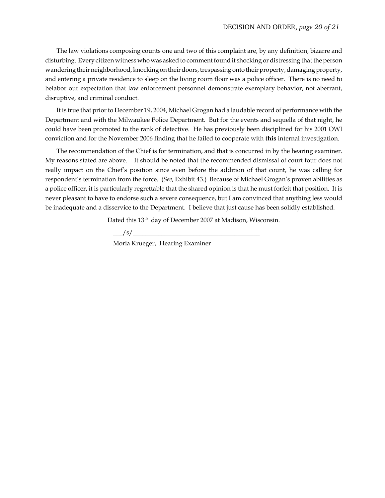The law violations composing counts one and two of this complaint are, by any definition, bizarre and disturbing. Every citizen witness who was asked to comment found it shocking or distressing that the person wandering their neighborhood, knocking on their doors, trespassing onto their property, damaging property, and entering a private residence to sleep on the living room floor was a police officer. There is no need to belabor our expectation that law enforcement personnel demonstrate exemplary behavior, not aberrant, disruptive, and criminal conduct.

It is true that prior to December 19, 2004, Michael Grogan had a laudable record of performance with the Department and with the Milwaukee Police Department. But for the events and sequella of that night, he could have been promoted to the rank of detective. He has previously been disciplined for his 2001 OWI conviction and for the November 2006 finding that he failed to cooperate with **this** internal investigation.

The recommendation of the Chief is for termination, and that is concurred in by the hearing examiner. My reasons stated are above. It should be noted that the recommended dismissal of court four does not really impact on the Chief's position since even before the addition of that count, he was calling for respondent's termination from the force. (*See*, Exhibit 43.) Because of Michael Grogan's proven abilities as a police officer, it is particularly regrettable that the shared opinion is that he must forfeit that position. It is never pleasant to have to endorse such a severe consequence, but I am convinced that anything less would be inadequate and a disservice to the Department. I believe that just cause has been solidly established.

Dated this 13<sup>th</sup> day of December 2007 at Madison, Wisconsin.

 $\frac{-1}{s}$ 

Moria Krueger, Hearing Examiner